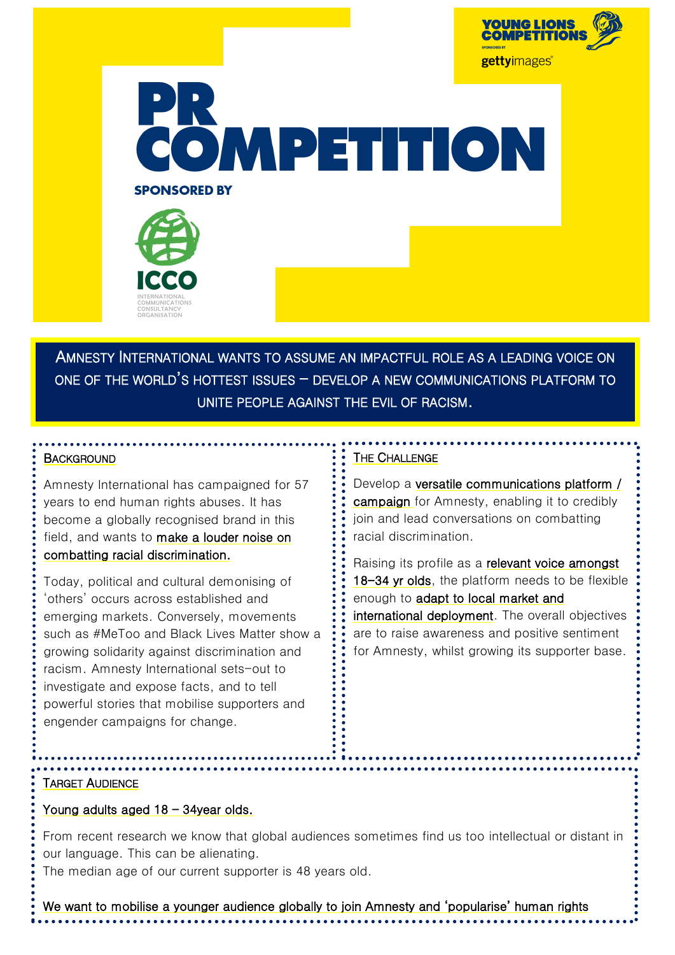



AMNESTY INTERNATIONAL WANTS TO ASSUME AN IMPACTFUL ROLE AS A LEADING VOICE ON ONE OF THE WORLD'S HOTTEST ISSUES - DEVELOP A NEW COMMUNICATIONS PLATFORM TO UNITE PEOPLE AGAINST THE EVIL OF RACISM.

#### **BACKGROUND**

Amnesty International has campaigned for 57 years to end human rights abuses. It has become a globally recognised brand in this field, and wants to make a louder noise on combatting racial discrimination.

Today, political and cultural demonising of 'others' occurs across established and emerging markets. Conversely, movements such as #MeToo and Black Lives Matter show a growing solidarity against discrimination and racism. Amnesty International sets-out to investigate and expose facts, and to tell powerful stories that mobilise supporters and engender campaigns for change.

#### THE CHALLENGE

Develop a versatile communications platform / campaign for Amnesty, enabling it to credibly join and lead conversations on combatting racial discrimination.

Raising its profile as a relevant voice amongst 18-34 yr olds, the platform needs to be flexible enough to adapt to local market and international deployment. The overall objectives are to raise awareness and positive sentiment for Amnesty, whilst growing its supporter base.

### TARGET AUDIENCE

### Young adults aged 18 – 34year olds.

From recent research we know that global audiences sometimes find us too intellectual or distant in our language. This can be alienating.

The median age of our current supporter is 48 years old.

We want to mobilise a younger audience globally to join Amnesty and 'popularise' human rights